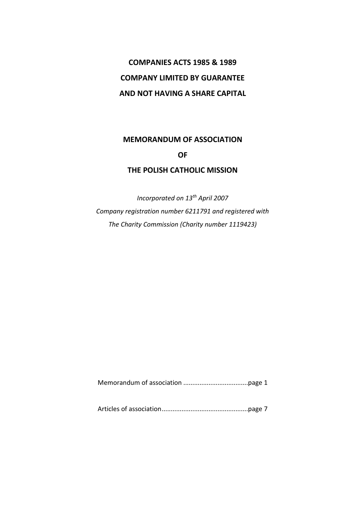# **COMPANIES ACTS 1985 & 1989 COMPANY LIMITED BY GUARANTEE AND NOT HAVING A SHARE CAPITAL**

# **MEMORANDUM OF ASSOCIATION OF**

# **THE POLISH CATHOLIC MISSION**

*Incorporated on 13th April 2007 Company registration number 6211791 and registered with The Charity Commission (Charity number 1119423)*

Memorandum of association ....................................page 1

Articles of association................................................page 7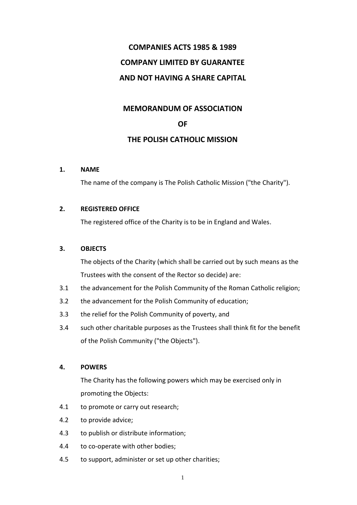# **COMPANIES ACTS 1985 & 1989 COMPANY LIMITED BY GUARANTEE AND NOT HAVING A SHARE CAPITAL**

## **MEMORANDUM OF ASSOCIATION**

## **OF**

## **THE POLISH CATHOLIC MISSION**

### **1. NAME**

The name of the company is The Polish Catholic Mission ("the Charity").

### **2. REGISTERED OFFICE**

The registered office of the Charity is to be in England and Wales.

### **3. OBJECTS**

The objects of the Charity (which shall be carried out by such means as the Trustees with the consent of the Rector so decide) are:

- 3.1 the advancement for the Polish Community of the Roman Catholic religion;
- 3.2 the advancement for the Polish Community of education;
- 3.3 the relief for the Polish Community of poverty, and
- 3.4 such other charitable purposes as the Trustees shall think fit for the benefit of the Polish Community ("the Objects").

### **4. POWERS**

The Charity has the following powers which may be exercised only in promoting the Objects:

- 4.1 to promote or carry out research;
- 4.2 to provide advice;
- 4.3 to publish or distribute information;
- 4.4 to co-operate with other bodies;
- 4.5 to support, administer or set up other charities;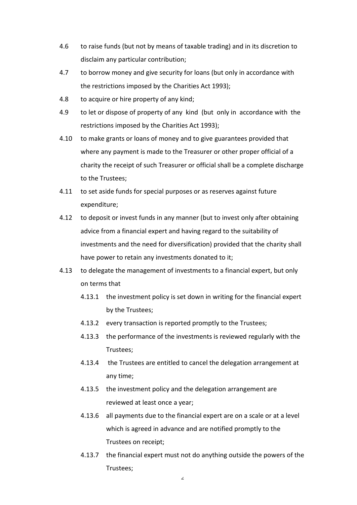- 4.6 to raise funds (but not by means of taxable trading) and in its discretion to disclaim any particular contribution;
- 4.7 to borrow money and give security for loans (but only in accordance with the restrictions imposed by the Charities Act 1993);
- 4.8 to acquire or hire property of any kind;
- 4.9 to let or dispose of property of any kind (but only in accordance with the restrictions imposed by the Charities Act 1993);
- 4.10 to make grants or loans of money and to give guarantees provided that where any payment is made to the Treasurer or other proper official of a charity the receipt of such Treasurer or official shall be a complete discharge to the Trustees;
- 4.11 to set aside funds for special purposes or as reserves against future expenditure;
- 4.12 to deposit or invest funds in any manner (but to invest only after obtaining advice from a financial expert and having regard to the suitability of investments and the need for diversification) provided that the charity shall have power to retain any investments donated to it;
- 4.13 to delegate the management of investments to a financial expert, but only on terms that
	- 4.13.1 the investment policy is set down in writing for the financial expert by the Trustees;
	- 4.13.2 every transaction is reported promptly to the Trustees;
	- 4.13.3 the performance of the investments is reviewed regularly with the Trustees;
	- 4.13.4 the Trustees are entitled to cancel the delegation arrangement at any time;
	- 4.13.5 the investment policy and the delegation arrangement are reviewed at least once a year;
	- 4.13.6 all payments due to the financial expert are on a scale or at a level which is agreed in advance and are notified promptly to the Trustees on receipt;
	- 4.13.7 the financial expert must not do anything outside the powers of the Trustees;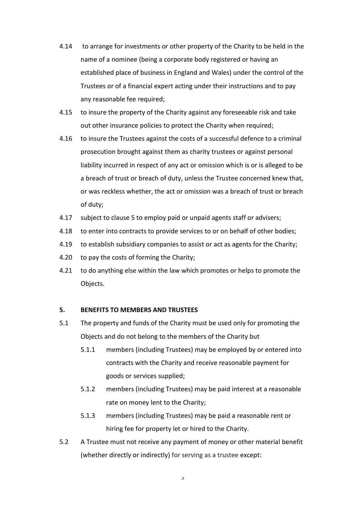- 4.14 to arrange for investments or other property of the Charity to be held in the name of a nominee (being a corporate body registered or having an established place of business in England and Wales) under the control of the Trustees or of a financial expert acting under their instructions and to pay any reasonable fee required;
- 4.15 to insure the property of the Charity against any foreseeable risk and take out other insurance policies to protect the Charity when required;
- 4.16 to insure the Trustees against the costs of a successful defence to a criminal prosecution brought against them as charity trustees or against personal liability incurred in respect of any act or omission which is or is alleged to be a breach of trust or breach of duty, unless the Trustee concerned knew that, or was reckless whether, the act or omission was a breach of trust or breach of duty;
- 4.17 subject to clause 5 to employ paid or unpaid agents staff or advisers;
- 4.18 to enter into contracts to provide services to or on behalf of other bodies;
- 4.19 to establish subsidiary companies to assist or act as agents for the Charity;
- 4.20 to pay the costs of forming the Charity;
- 4.21 to do anything else within the law which promotes or helps to promote the Objects.

### **5. BENEFITS TO MEMBERS AND TRUSTEES**

- 5.1 The property and funds of the Charity must be used only for promoting the Objects and do not belong to the members of the Charity but
	- 5.1.1 members (including Trustees) may be employed by or entered into contracts with the Charity and receive reasonable payment for goods or services supplied;
	- 5.1.2 members (including Trustees) may be paid interest at a reasonable rate on money lent to the Charity;
	- 5.1.3 members (including Trustees) may be paid a reasonable rent or hiring fee for property let or hired to the Charity.
- 5.2 A Trustee must not receive any payment of money or other material benefit (whether directly or indirectly) for serving as a trustee except: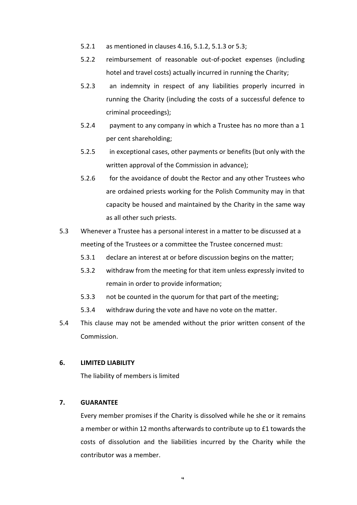- 5.2.1 as mentioned in clauses 4.16, 5.1.2, 5.1.3 or 5.3;
- 5.2.2 reimbursement of reasonable out-of-pocket expenses (including hotel and travel costs) actually incurred in running the Charity;
- 5.2.3 an indemnity in respect of any liabilities properly incurred in running the Charity (including the costs of a successful defence to criminal proceedings);
- 5.2.4 payment to any company in which a Trustee has no more than a 1 per cent shareholding;
- 5.2.5 in exceptional cases, other payments or benefits (but only with the written approval of the Commission in advance);
- 5.2.6 for the avoidance of doubt the Rector and any other Trustees who are ordained priests working for the Polish Community may in that capacity be housed and maintained by the Charity in the same way as all other such priests.
- 5.3 Whenever a Trustee has a personal interest in a matter to be discussed at a meeting of the Trustees or a committee the Trustee concerned must:
	- 5.3.1 declare an interest at or before discussion begins on the matter;
	- 5.3.2 withdraw from the meeting for that item unless expressly invited to remain in order to provide information;
	- 5.3.3 not be counted in the quorum for that part of the meeting;
	- 5.3.4 withdraw during the vote and have no vote on the matter.
- 5.4 This clause may not be amended without the prior written consent of the Commission.

#### **6. LIMITED LIABILITY**

The liability of members is limited

#### **7. GUARANTEE**

Every member promises if the Charity is dissolved while he she or it remains a member or within 12 months afterwards to contribute up to £1 towards the costs of dissolution and the liabilities incurred by the Charity while the contributor was a member.

4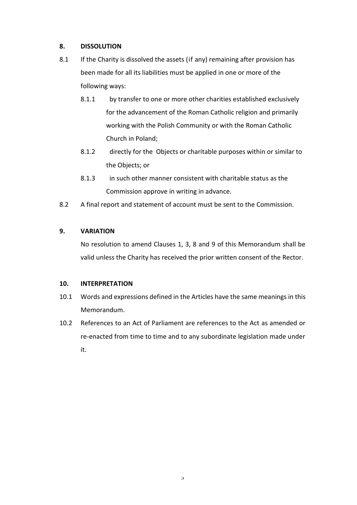## **8. DISSOLUTION**

- 8.1 If the Charity is dissolved the assets (if any) remaining after provision has been made for all its liabilities must be applied in one or more of the following ways:
	- 8.1.1 by transfer to one or more other charities established exclusively for the advancement of the Roman Catholic religion and primarily working with the Polish Community or with the Roman Catholic Church in Poland;
	- 8.1.2 directly for the Objects or charitable purposes within or similar to the Objects; or
	- 8.1.3 in such other manner consistent with charitable status as the Commission approve in writing in advance.
- 8.2 A final report and statement of account must be sent to the Commission.

## **9. VARIATION**

No resolution to amend Clauses 1, 3, 8 and 9 of this Memorandum shall be valid unless the Charity has received the prior written consent of the Rector.

### **10. INTERPRETATION**

- 10.1 Words and expressions defined in the Articles have the same meanings in this Memorandum.
- 10.2 References to an Act of Parliament are references to the Act as amended or re-enacted from time to time and to any subordinate legislation made under it.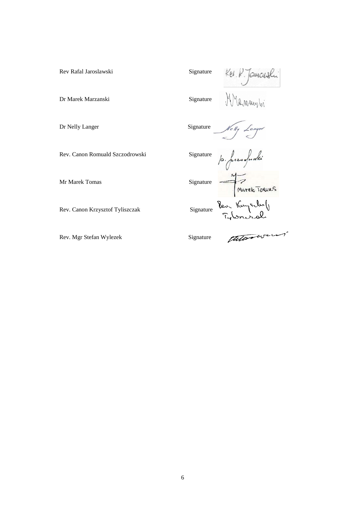Rev Rafal Jaroslawski<br>Dr Marek Marzanski<br>Signature Marty Manguard Signature Manguard Signature Manguard Signature Manguard Manguard Signature Signature

Dr Marek Marzanski Signature

Dr Nelly Langer Signature

Rev. Canon Romuald Szczodrowski Signature

p. freesoforthe

Nelly Langer

Mr Marek Tomas<br>Rev. Canon Krzysztof Tyliszczak<br>Signature Rev. Kuyerbo (

Rev. Mgr Stefan Wylezek Signature

Rev. Canon Krzysztof Tyliszczak

theorien'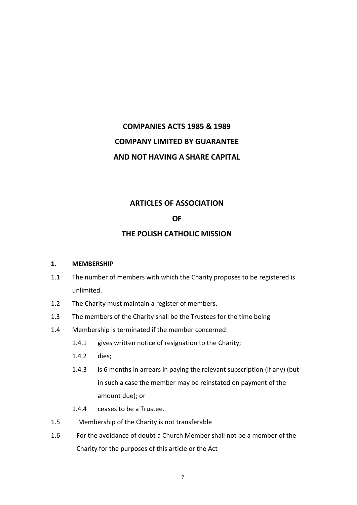# **COMPANIES ACTS 1985 & 1989 COMPANY LIMITED BY GUARANTEE AND NOT HAVING A SHARE CAPITAL**

## **ARTICLES OF ASSOCIATION**

## **OF**

# **THE POLISH CATHOLIC MISSION**

### **1. MEMBERSHIP**

- 1.1 The number of members with which the Charity proposes to be registered is unlimited.
- 1.2 The Charity must maintain a register of members.
- 1.3 The members of the Charity shall be the Trustees for the time being
- 1.4 Membership is terminated if the member concerned:
	- 1.4.1 gives written notice of resignation to the Charity;
	- 1.4.2 dies;
	- 1.4.3 is 6 months in arrears in paying the relevant subscription (if any) (but in such a case the member may be reinstated on payment of the amount due); or
	- 1.4.4 ceases to be a Trustee.
- 1.5 Membership of the Charity is not transferable
- 1.6 For the avoidance of doubt a Church Member shall not be a member of the Charity for the purposes of this article or the Act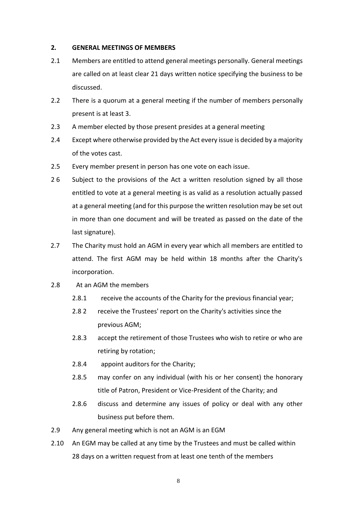### **2. GENERAL MEETINGS OF MEMBERS**

- 2.1 Members are entitled to attend general meetings personally. General meetings are called on at least clear 21 days written notice specifying the business to be discussed.
- 2.2 There is a quorum at a general meeting if the number of members personally present is at least 3.
- 2.3 A member elected by those present presides at a general meeting
- 2.4 Except where otherwise provided by the Act every issue is decided by a majority of the votes cast.
- 2.5 Every member present in person has one vote on each issue.
- 26 Subject to the provisions of the Act a written resolution signed by all those entitled to vote at a general meeting is as valid as a resolution actually passed at a general meeting (and for this purpose the written resolution may be set out in more than one document and will be treated as passed on the date of the last signature).
- 2.7 The Charity must hold an AGM in every year which all members are entitled to attend. The first AGM may be held within 18 months after the Charity's incorporation.
- 2.8 At an AGM the members
	- 2.8.1 receive the accounts of the Charity for the previous financial year;
	- 2.8 2 receive the Trustees' report on the Charity's activities since the previous AGM;
	- 2.8.3 accept the retirement of those Trustees who wish to retire or who are retiring by rotation;
	- 2.8.4 appoint auditors for the Charity;
	- 2.8.5 may confer on any individual (with his or her consent) the honorary title of Patron, President or Vice-President of the Charity; and
	- 2.8.6 discuss and determine any issues of policy or deal with any other business put before them.
- 2.9 Any general meeting which is not an AGM is an EGM
- 2.10 An EGM may be called at any time by the Trustees and must be called within 28 days on a written request from at least one tenth of the members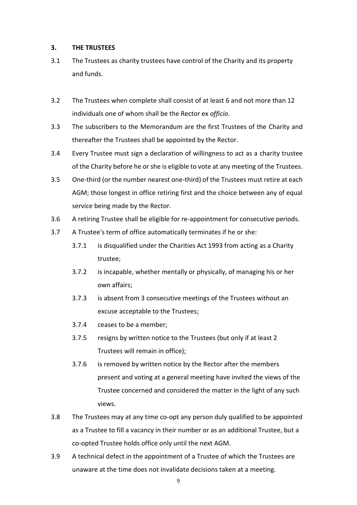### **3. THE TRUSTEES**

- 3.1 The Trustees as charity trustees have control of the Charity and its property and funds.
- 3.2 The Trustees when complete shall consist of at least 6 and not more than 12 individuals one of whom shall be the Rector ex *officio.*
- 3.3 The subscribers to the Memorandum are the first Trustees of the Charity and thereafter the Trustees shall be appointed by the Rector.
- 3.4 Every Trustee must sign a declaration of willingness to act as a charity trustee of the Charity before he or she is eligible to vote at any meeting of the Trustees.
- 3.5 One-third (or the number nearest one-third) of the Trustees must retire at each AGM; those longest in office retiring first and the choice between any of equal service being made by the Rector.
- 3.6 A retiring Trustee shall be eligible for re-appointment for consecutive periods.
- 3.7 A Trustee's term of office automatically terminates if he or she:
	- 3.7.1 is disqualified under the Charities Act 1993 from acting as a Charity trustee;
	- 3.7.2 is incapable, whether mentally or physically, of managing his or her own affairs;
	- 3.7.3 is absent from 3 consecutive meetings of the Trustees without an excuse acceptable to the Trustees;
	- 3.7.4 ceases to be a member;
	- 3.7.5 resigns by written notice to the Trustees (but only if at least 2 Trustees will remain in office);
	- 3.7.6 is removed by written notice by the Rector after the members present and voting at a general meeting have invited the views of the Trustee concerned and considered the matter in the light of any such views.
- 3.8 The Trustees may at any time co-opt any person duly qualified to be appointed as a Trustee to fill a vacancy in their number or as an additional Trustee, but a co-opted Trustee holds office only until the next AGM.
- 3.9 A technical defect in the appointment of a Trustee of which the Trustees are unaware at the time does not invalidate decisions taken at a meeting.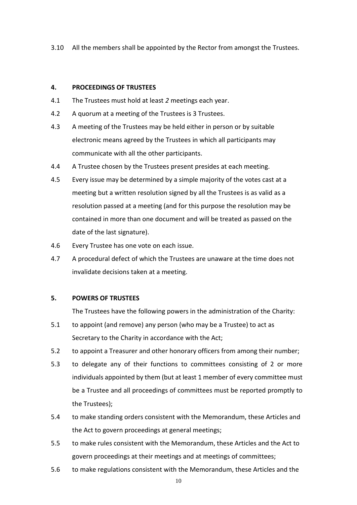3.10 All the members shall be appointed by the Rector from amongst the Trustees.

### **4. PROCEEDINGS OF TRUSTEES**

- 4.1 The Trustees must hold at least *2* meetings each year.
- 4.2 A quorum at a meeting of the Trustees is 3 Trustees.
- 4.3 A meeting of the Trustees may be held either in person or by suitable electronic means agreed by the Trustees in which all participants may communicate with all the other participants.
- 4.4 A Trustee chosen by the Trustees present presides at each meeting.
- 4.5 Every issue may be determined by a simple majority of the votes cast at a meeting but a written resolution signed by all the Trustees is as valid as a resolution passed at a meeting (and for this purpose the resolution may be contained in more than one document and will be treated as passed on the date of the last signature).
- 4.6 Every Trustee has one vote on each issue.
- 4.7 A procedural defect of which the Trustees are unaware at the time does not invalidate decisions taken at a meeting.

### **5. POWERS OF TRUSTEES**

The Trustees have the following powers in the administration of the Charity:

- 5.1 to appoint (and remove) any person (who may be a Trustee) to act as Secretary to the Charity in accordance with the Act;
- 5.2 to appoint a Treasurer and other honorary officers from among their number;
- 5.3 to delegate any of their functions to committees consisting of 2 or more individuals appointed by them (but at least 1 member of every committee must be a Trustee and all proceedings of committees must be reported promptly to the Trustees);
- 5.4 to make standing orders consistent with the Memorandum, these Articles and the Act to govern proceedings at general meetings;
- 5.5 to make rules consistent with the Memorandum, these Articles and the Act to govern proceedings at their meetings and at meetings of committees;
- 5.6 to make regulations consistent with the Memorandum, these Articles and the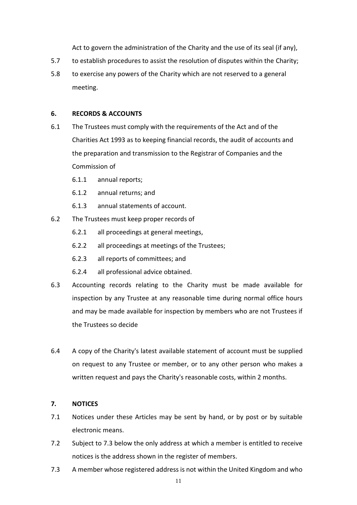Act to govern the administration of the Charity and the use of its seal (if any),

- 5.7 to establish procedures to assist the resolution of disputes within the Charity;
- 5.8 to exercise any powers of the Charity which are not reserved to a general meeting.

### **6. RECORDS & ACCOUNTS**

- 6.1 The Trustees must comply with the requirements of the Act and of the Charities Act 1993 as to keeping financial records, the audit of accounts and the preparation and transmission to the Registrar of Companies and the Commission of
	- 6.1.1 annual reports;
	- 6.1.2 annual returns; and
	- 6.1.3 annual statements of account.
- 6.2 The Trustees must keep proper records of
	- 6.2.1 all proceedings at general meetings,
	- 6.2.2 all proceedings at meetings of the Trustees;
	- 6.2.3 all reports of committees; and
	- 6.2.4 all professional advice obtained.
- 6.3 Accounting records relating to the Charity must be made available for inspection by any Trustee at any reasonable time during normal office hours and may be made available for inspection by members who are not Trustees if the Trustees so decide
- 6.4 A copy of the Charity's latest available statement of account must be supplied on request to any Trustee or member, or to any other person who makes a written request and pays the Charity's reasonable costs, within 2 months.

### **7. NOTICES**

- 7.1 Notices under these Articles may be sent by hand, or by post or by suitable electronic means.
- 7.2 Subject to 7.3 below the only address at which a member is entitled to receive notices is the address shown in the register of members.
- 7.3 A member whose registered address is not within the United Kingdom and who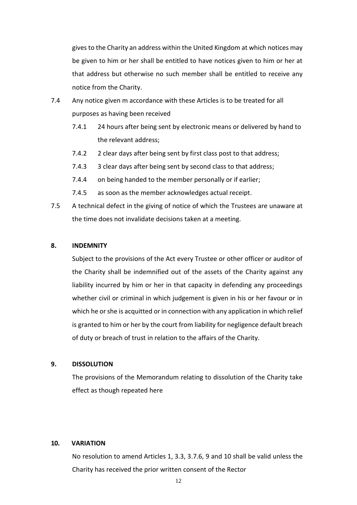gives to the Charity an address within the United Kingdom at which notices may be given to him or her shall be entitled to have notices given to him or her at that address but otherwise no such member shall be entitled to receive any notice from the Charity.

- 7.4 Any notice given m accordance with these Articles is to be treated for all purposes as having been received
	- 7.4.1 24 hours after being sent by electronic means or delivered by hand to the relevant address;
	- 7.4.2 2 clear days after being sent by first class post to that address;
	- 7.4.3 3 clear days after being sent by second class to that address;
	- 7.4.4 on being handed to the member personally or if earlier;
	- 7.4.5 as soon as the member acknowledges actual receipt.
- 7.5 A technical defect in the giving of notice of which the Trustees are unaware at the time does not invalidate decisions taken at a meeting.

### **8. INDEMNITY**

Subject to the provisions of the Act every Trustee or other officer or auditor of the Charity shall be indemnified out of the assets of the Charity against any liability incurred by him or her in that capacity in defending any proceedings whether civil or criminal in which judgement is given in his or her favour or in which he or she is acquitted or in connection with any application in which relief is granted to him or her by the court from liability for negligence default breach of duty or breach of trust in relation to the affairs of the Charity.

### **9. DISSOLUTION**

The provisions of the Memorandum relating to dissolution of the Charity take effect as though repeated here

### **10. VARIATION**

No resolution to amend Articles 1, 3.3, 3.7.6, 9 and 10 shall be valid unless the Charity has received the prior written consent of the Rector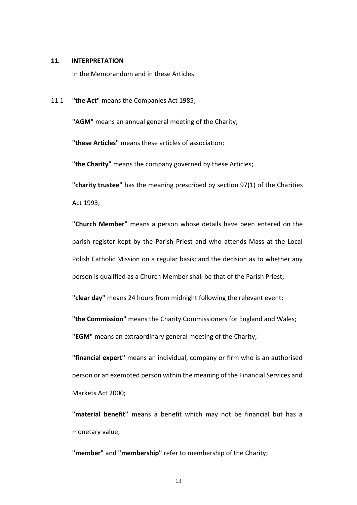#### **11. INTERPRETATION**

In the Memorandum and in these Articles:

11 1 **"the Act"** means the Companies Act 1985;

**"AGM"** means an annual general meeting of the Charity;

**"these Articles"** means these articles of association;

**"the Charity"** means the company governed by these Articles;

**"charity trustee"** has the meaning prescribed by section 97(1) of the Charities Act 1993;

**"Church Member"** means a person whose details have been entered on the parish register kept by the Parish Priest and who attends Mass at the Local Polish Catholic Mission on a regular basis; and the decision as to whether any person is qualified as a Church Member shall be that of the Parish Priest;

**"clear day"** means 24 hours from midnight following the relevant event;

**"the Commission"** means the Charity Commissioners for England and Wales; **"EGM"** means an extraordinary general meeting of the Charity;

**"financial expert"** means an individual, company or firm who is an authorised person or an exempted person within the meaning of the Financial Services and Markets Act 2000;

**"material benefit"** means a benefit which may not be financial but has a monetary value;

**"member"** and **"membership"** refer to membership of the Charity;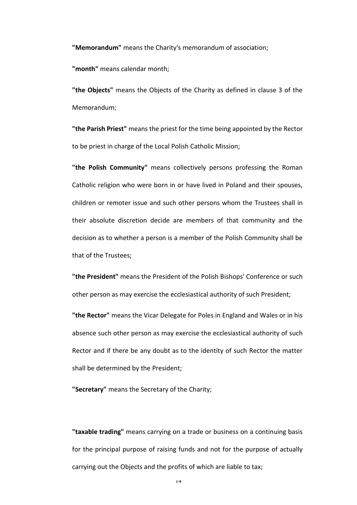**"Memorandum"** means the Charity's memorandum of association;

**"month"** means calendar month;

**"the Objects"** means the Objects of the Charity as defined in clause 3 of the Memorandum;

**"the Parish Priest"** means the priest for the time being appointed by the Rector to be priest in charge of the Local Polish Catholic Mission;

**"the Polish Community"** means collectively persons professing the Roman Catholic religion who were born in or have lived in Poland and their spouses, children or remoter issue and such other persons whom the Trustees shall in their absolute discretion decide are members of that community and the decision as to whether a person is a member of the Polish Community shall be that of the Trustees;

**"the President"** means the President of the Polish Bishops' Conference or such other person as may exercise the ecclesiastical authority of such President;

**"the Rector"** means the Vicar Delegate for Poles in England and Wales or in his absence such other person as may exercise the ecclesiastical authority of such Rector and if there be any doubt as to the identity of such Rector the matter shall be determined by the President;

**"Secretary"** means the Secretary of the Charity;

**"taxable trading"** means carrying on a trade or business on a continuing basis for the principal purpose of raising funds and not for the purpose of actually carrying out the Objects and the profits of which are liable to tax;

14